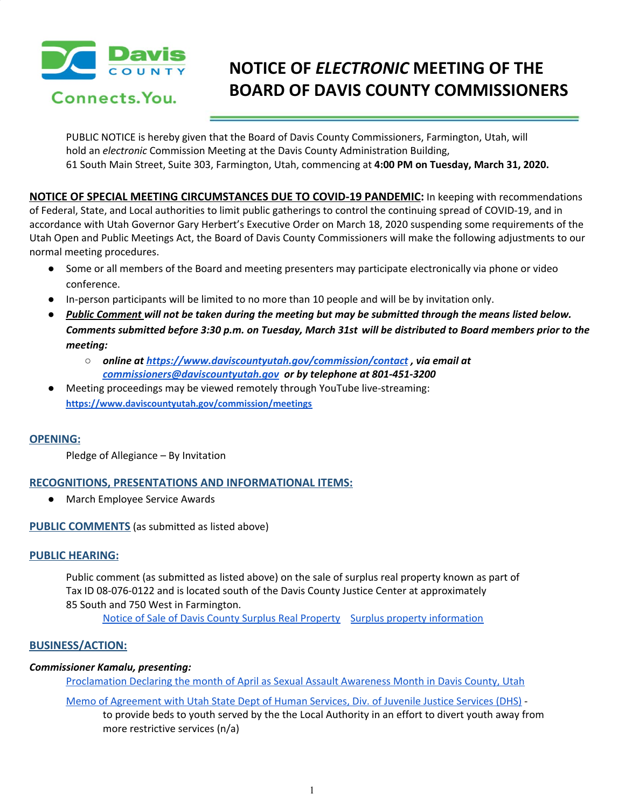

# **NOTICE OF** *ELECTRONIC* **MEETING OF THE BOARD OF DAVIS COUNTY COMMISSIONERS**

PUBLIC NOTICE is hereby given that the Board of Davis County Commissioners, Farmington, Utah, will hold an *electronic* Commission Meeting at the Davis County Administration Building, 61 South Main Street, Suite 303, Farmington, Utah, commencing at **4:00 PM on Tuesday, March 31, 2020.**

**NOTICE OF SPECIAL MEETING CIRCUMSTANCES DUE TO COVID-19 PANDEMIC:** In keeping with recommendations of Federal, State, and Local authorities to limit public gatherings to control the continuing spread of COVID-19, and in accordance with Utah Governor Gary Herbert's Executive Order on March 18, 2020 suspending some requirements of the Utah Open and Public Meetings Act, the Board of Davis County Commissioners will make the following adjustments to our normal meeting procedures.

- Some or all members of the Board and meeting presenters may participate electronically via phone or video conference.
- In-person participants will be limited to no more than 10 people and will be by invitation only.
- Public Comment will not be taken during the meeting but may be submitted through the means listed below. Comments submitted before 3:30 p.m. on Tuesday, March 31st will be distributed to Board members prior to the *meeting:*
	- *○ online at <https://www.daviscountyutah.gov/commission/contact> , via email at [commissioners@daviscountyutah.gov](mailto:commissioners@daviscountyutah.gov) or by telephone at 801-451-3200*
- Meeting proceedings may be viewed remotely through YouTube live-streaming: **<https://www.daviscountyutah.gov/commission/meetings>**

# **OPENING:**

Pledge of Allegiance – By Invitation

# **RECOGNITIONS, PRESENTATIONS AND INFORMATIONAL ITEMS:**

● March Employee Service Awards

**PUBLIC COMMENTS** (as submitted as listed above)

# **PUBLIC HEARING:**

Public comment (as submitted as listed above) on the sale of surplus real property known as part of Tax ID 08-076-0122 and is located south of the Davis County Justice Center at approximately 85 South and 750 West in Farmington.

Notice of Sale of Davis County Surplus Real [Property](https://drive.google.com/a/co.davis.ut.us/file/d/1q3oiHZcEV4HfYbQVHawJFEXfykZhkyOZ/view?usp=drivesdk) Surplus property [information](https://drive.google.com/a/co.davis.ut.us/file/d/1uyWTdM8DpKQ1k8iCIANIghdv29yaKvAY/view?usp=drivesdk)

# **BUSINESS/ACTION:**

# *Commissioner Kamalu, presenting:*

[Proclamation](https://drive.google.com/a/co.davis.ut.us/file/d/1nIKOkMA3d3yvedw9PxyjS8jX3oeiy7jC/view?usp=drivesdk) Declaring the month of April as Sexual Assault Awareness Month in Davis County, Utah

# Memo of [Agreement](https://drive.google.com/a/co.davis.ut.us/file/d/1FqYgEfCP5Go6wy2yy4KvvXjwfd4EOm1O/view?usp=drivesdk) with Utah State Dept of Human Services, Div. of Juvenile Justice Services (DHS) -

to provide beds to youth served by the the Local Authority in an effort to divert youth away from more restrictive services (n/a)